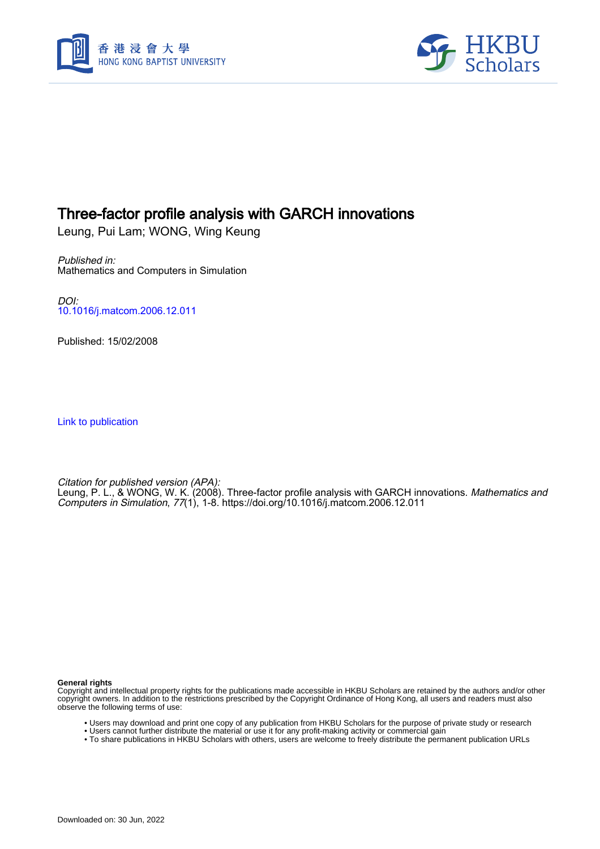



## Three-factor profile analysis with GARCH innovations

Leung, Pui Lam; WONG, Wing Keung

Published in: Mathematics and Computers in Simulation

DOI: [10.1016/j.matcom.2006.12.011](https://doi.org/10.1016/j.matcom.2006.12.011)

Published: 15/02/2008

[Link to publication](https://scholars.hkbu.edu.hk/en/publications/d6c17387-4ff1-459e-af1e-be2747df9f5d)

Citation for published version (APA): Leung, P. L., & WONG, W. K. (2008). Three-factor profile analysis with GARCH innovations. *Mathematics and* Computers in Simulation, 77(1), 1-8.<https://doi.org/10.1016/j.matcom.2006.12.011>

**General rights**

Copyright and intellectual property rights for the publications made accessible in HKBU Scholars are retained by the authors and/or other copyright owners. In addition to the restrictions prescribed by the Copyright Ordinance of Hong Kong, all users and readers must also observe the following terms of use:

- Users may download and print one copy of any publication from HKBU Scholars for the purpose of private study or research
- Users cannot further distribute the material or use it for any profit-making activity or commercial gain
- To share publications in HKBU Scholars with others, users are welcome to freely distribute the permanent publication URLs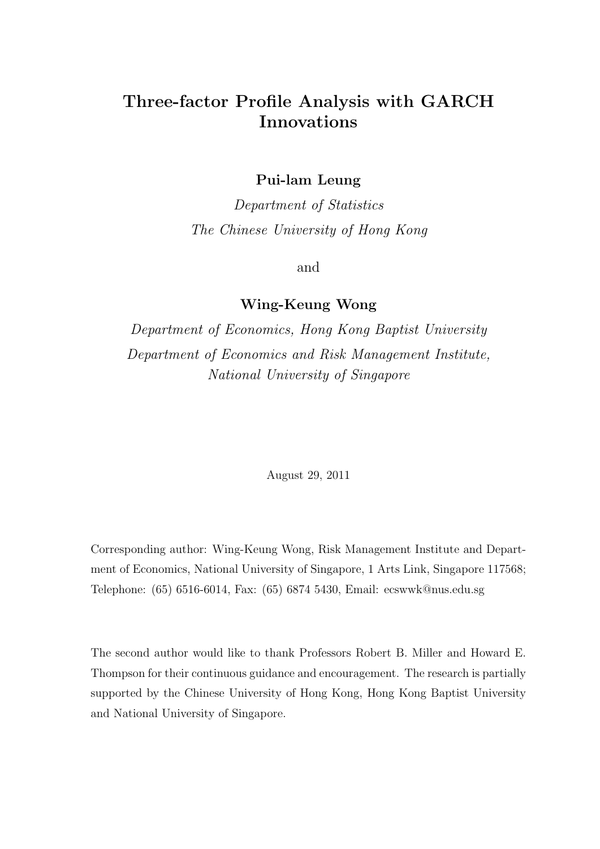# Three-factor Profile Analysis with GARCH Innovations

Pui-lam Leung

Department of Statistics The Chinese University of Hong Kong

and

Wing-Keung Wong

Department of Economics, Hong Kong Baptist University Department of Economics and Risk Management Institute, National University of Singapore

August 29, 2011

Corresponding author: Wing-Keung Wong, Risk Management Institute and Department of Economics, National University of Singapore, 1 Arts Link, Singapore 117568; Telephone: (65) 6516-6014, Fax: (65) 6874 5430, Email: ecswwk@nus.edu.sg

The second author would like to thank Professors Robert B. Miller and Howard E. Thompson for their continuous guidance and encouragement. The research is partially supported by the Chinese University of Hong Kong, Hong Kong Baptist University and National University of Singapore.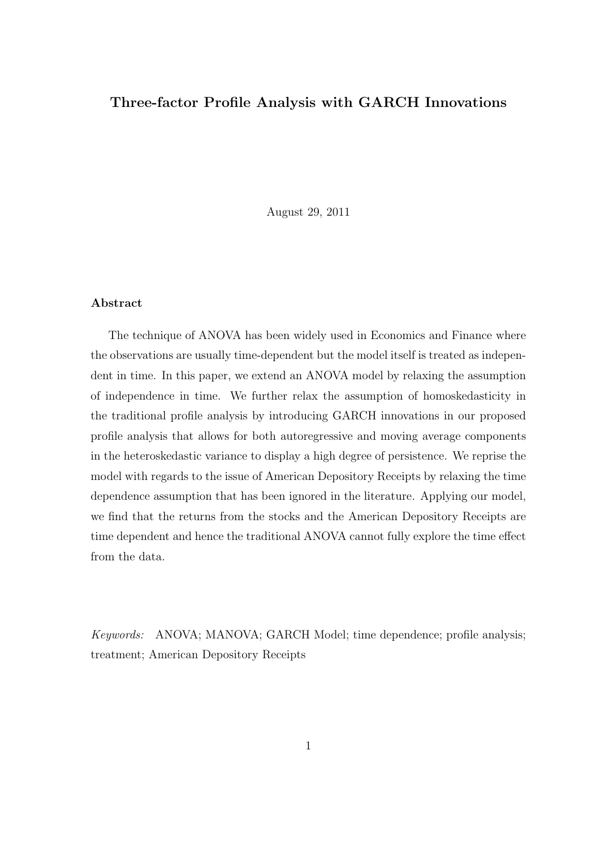### Three-factor Profile Analysis with GARCH Innovations

August 29, 2011

#### Abstract

The technique of ANOVA has been widely used in Economics and Finance where the observations are usually time-dependent but the model itself is treated as independent in time. In this paper, we extend an ANOVA model by relaxing the assumption of independence in time. We further relax the assumption of homoskedasticity in the traditional profile analysis by introducing GARCH innovations in our proposed profile analysis that allows for both autoregressive and moving average components in the heteroskedastic variance to display a high degree of persistence. We reprise the model with regards to the issue of American Depository Receipts by relaxing the time dependence assumption that has been ignored in the literature. Applying our model, we find that the returns from the stocks and the American Depository Receipts are time dependent and hence the traditional ANOVA cannot fully explore the time effect from the data.

Keywords: ANOVA; MANOVA; GARCH Model; time dependence; profile analysis; treatment; American Depository Receipts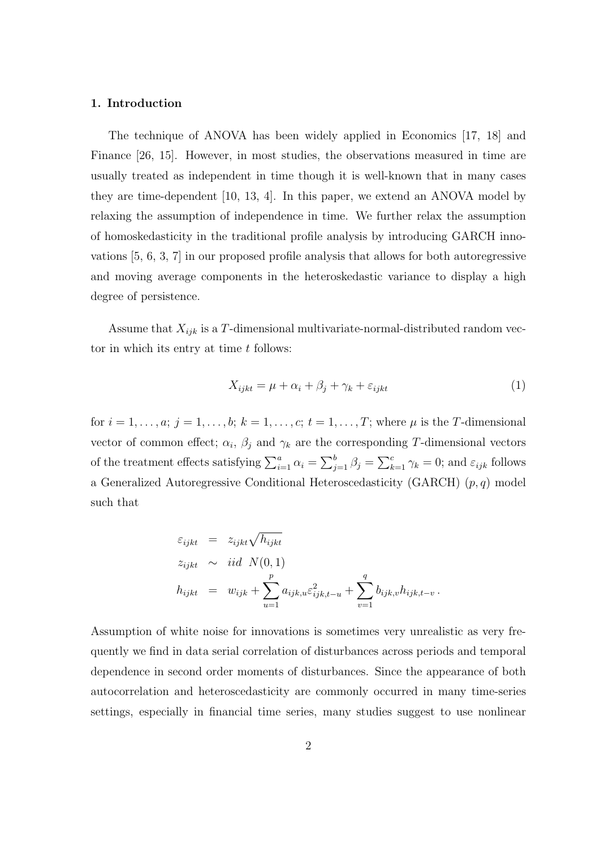#### 1. Introduction

The technique of ANOVA has been widely applied in Economics [17, 18] and Finance [26, 15]. However, in most studies, the observations measured in time are usually treated as independent in time though it is well-known that in many cases they are time-dependent [10, 13, 4]. In this paper, we extend an ANOVA model by relaxing the assumption of independence in time. We further relax the assumption of homoskedasticity in the traditional profile analysis by introducing GARCH innovations [5, 6, 3, 7] in our proposed profile analysis that allows for both autoregressive and moving average components in the heteroskedastic variance to display a high degree of persistence.

Assume that  $X_{ijk}$  is a T-dimensional multivariate-normal-distributed random vector in which its entry at time  $t$  follows:

$$
X_{ijkt} = \mu + \alpha_i + \beta_j + \gamma_k + \varepsilon_{ijkt}
$$
\n<sup>(1)</sup>

for  $i = 1, \ldots, a; j = 1, \ldots, b; k = 1, \ldots, c; t = 1, \ldots, T;$  where  $\mu$  is the T-dimensional vector of common effect;  $\alpha_i$ ,  $\beta_j$  and  $\gamma_k$  are the corresponding T-dimensional vectors of the treatment effects satisfying  $\sum_{i=1}^{a} \alpha_i =$  $\overline{\nabla^b}$  $j=1 \beta_j =$  $\sum c$  $\sum_{k=1}^{c} \gamma_k = 0$ ; and  $\varepsilon_{ijk}$  follows a Generalized Autoregressive Conditional Heteroscedasticity (GARCH)  $(p, q)$  model such that

$$
\varepsilon_{ijkt} = z_{ijkt} \sqrt{h_{ijkt}}
$$
  
\n
$$
z_{ijkt} \sim \text{iid } N(0, 1)
$$
  
\n
$$
h_{ijkt} = w_{ijk} + \sum_{u=1}^{p} a_{ijk,u} \varepsilon_{ijk,t-u}^2 + \sum_{v=1}^{q} b_{ijk,v} h_{ijk,t-v}.
$$

Assumption of white noise for innovations is sometimes very unrealistic as very frequently we find in data serial correlation of disturbances across periods and temporal dependence in second order moments of disturbances. Since the appearance of both autocorrelation and heteroscedasticity are commonly occurred in many time-series settings, especially in financial time series, many studies suggest to use nonlinear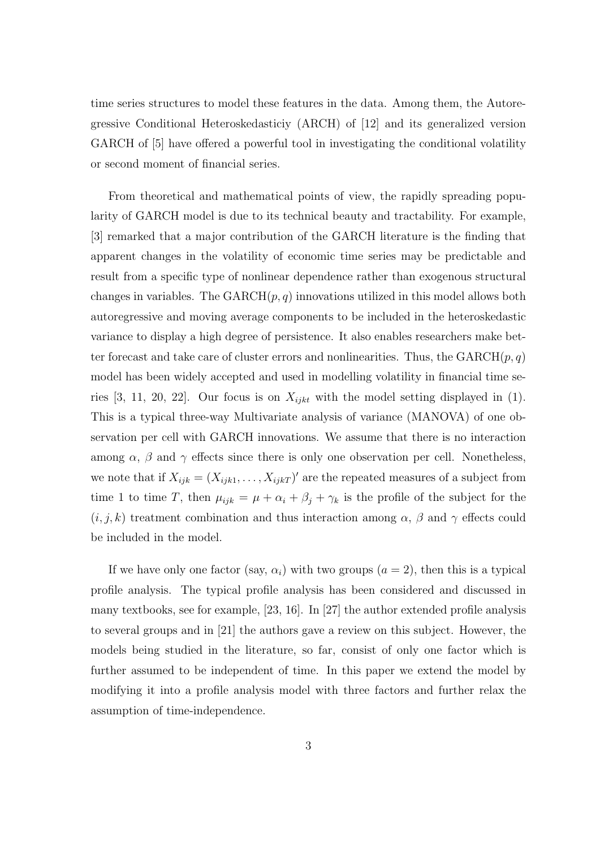time series structures to model these features in the data. Among them, the Autoregressive Conditional Heteroskedasticiy (ARCH) of [12] and its generalized version GARCH of [5] have offered a powerful tool in investigating the conditional volatility or second moment of financial series.

From theoretical and mathematical points of view, the rapidly spreading popularity of GARCH model is due to its technical beauty and tractability. For example, [3] remarked that a major contribution of the GARCH literature is the finding that apparent changes in the volatility of economic time series may be predictable and result from a specific type of nonlinear dependence rather than exogenous structural changes in variables. The  $GARCH(p, q)$  innovations utilized in this model allows both autoregressive and moving average components to be included in the heteroskedastic variance to display a high degree of persistence. It also enables researchers make better forecast and take care of cluster errors and nonlinearities. Thus, the  $GARCH(p, q)$ model has been widely accepted and used in modelling volatility in financial time series [3, 11, 20, 22]. Our focus is on  $X_{ijkt}$  with the model setting displayed in (1). This is a typical three-way Multivariate analysis of variance (MANOVA) of one observation per cell with GARCH innovations. We assume that there is no interaction among  $\alpha$ ,  $\beta$  and  $\gamma$  effects since there is only one observation per cell. Nonetheless, we note that if  $X_{ijk} = (X_{ijk1}, \ldots, X_{ijkT})'$  are the repeated measures of a subject from time 1 to time T, then  $\mu_{ijk} = \mu + \alpha_i + \beta_j + \gamma_k$  is the profile of the subject for the  $(i, j, k)$  treatment combination and thus interaction among  $\alpha$ ,  $\beta$  and  $\gamma$  effects could be included in the model.

If we have only one factor (say,  $\alpha_i$ ) with two groups  $(a = 2)$ , then this is a typical profile analysis. The typical profile analysis has been considered and discussed in many textbooks, see for example, [23, 16]. In [27] the author extended profile analysis to several groups and in [21] the authors gave a review on this subject. However, the models being studied in the literature, so far, consist of only one factor which is further assumed to be independent of time. In this paper we extend the model by modifying it into a profile analysis model with three factors and further relax the assumption of time-independence.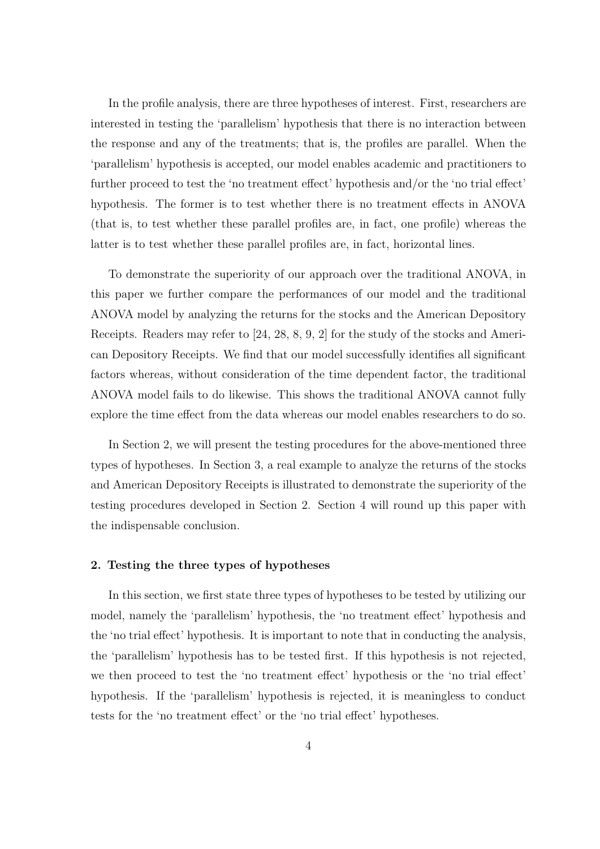In the profile analysis, there are three hypotheses of interest. First, researchers are interested in testing the 'parallelism' hypothesis that there is no interaction between the response and any of the treatments; that is, the profiles are parallel. When the 'parallelism' hypothesis is accepted, our model enables academic and practitioners to further proceed to test the 'no treatment effect' hypothesis and/or the 'no trial effect' hypothesis. The former is to test whether there is no treatment effects in ANOVA (that is, to test whether these parallel profiles are, in fact, one profile) whereas the latter is to test whether these parallel profiles are, in fact, horizontal lines.

To demonstrate the superiority of our approach over the traditional ANOVA, in this paper we further compare the performances of our model and the traditional ANOVA model by analyzing the returns for the stocks and the American Depository Receipts. Readers may refer to [24, 28, 8, 9, 2] for the study of the stocks and American Depository Receipts. We find that our model successfully identifies all significant factors whereas, without consideration of the time dependent factor, the traditional ANOVA model fails to do likewise. This shows the traditional ANOVA cannot fully explore the time effect from the data whereas our model enables researchers to do so.

In Section 2, we will present the testing procedures for the above-mentioned three types of hypotheses. In Section 3, a real example to analyze the returns of the stocks and American Depository Receipts is illustrated to demonstrate the superiority of the testing procedures developed in Section 2. Section 4 will round up this paper with the indispensable conclusion.

#### 2. Testing the three types of hypotheses

In this section, we first state three types of hypotheses to be tested by utilizing our model, namely the 'parallelism' hypothesis, the 'no treatment effect' hypothesis and the 'no trial effect' hypothesis. It is important to note that in conducting the analysis, the 'parallelism' hypothesis has to be tested first. If this hypothesis is not rejected, we then proceed to test the 'no treatment effect' hypothesis or the 'no trial effect' hypothesis. If the 'parallelism' hypothesis is rejected, it is meaningless to conduct tests for the 'no treatment effect' or the 'no trial effect' hypotheses.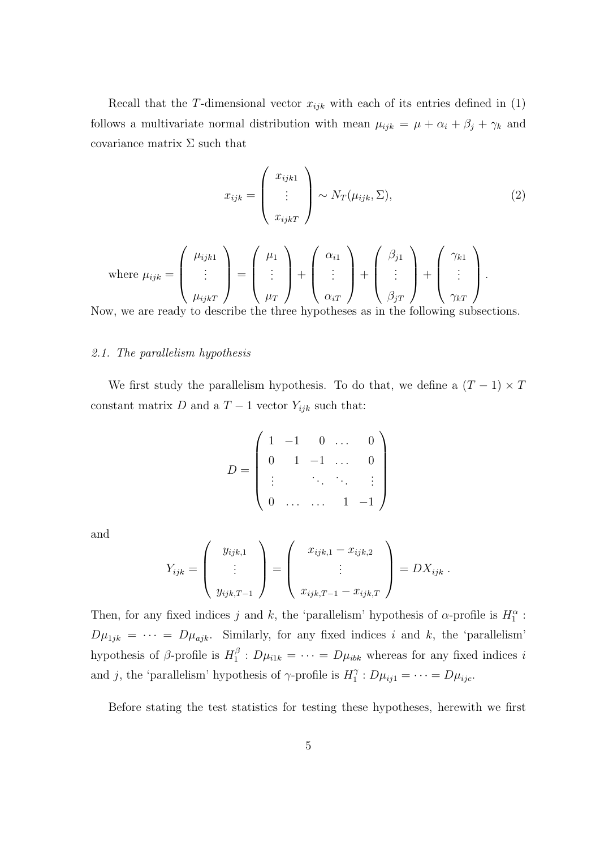Recall that the T-dimensional vector  $x_{ijk}$  with each of its entries defined in (1) follows a multivariate normal distribution with mean  $\mu_{ijk} = \mu + \alpha_i + \beta_j + \gamma_k$  and covariance matrix  $\Sigma$  such that

$$
x_{ijk} = \begin{pmatrix} x_{ijk1} \\ \vdots \\ x_{ijkT} \end{pmatrix} \sim N_T(\mu_{ijk}, \Sigma), \tag{2}
$$

where 
$$
\mu_{ijk} = \begin{pmatrix} \mu_{ijk1} \\ \vdots \\ \mu_{ijkT} \end{pmatrix} = \begin{pmatrix} \mu_1 \\ \vdots \\ \mu_T \end{pmatrix} + \begin{pmatrix} \alpha_{i1} \\ \vdots \\ \alpha_{iT} \end{pmatrix} + \begin{pmatrix} \beta_{j1} \\ \vdots \\ \beta_{jT} \end{pmatrix} + \begin{pmatrix} \gamma_{k1} \\ \vdots \\ \gamma_{kT} \end{pmatrix}.
$$
  

Now, we are ready to describe the three hypotheses as in the following subsections.

#### 2.1. The parallelism hypothesis

We first study the parallelism hypothesis. To do that, we define a  $(T - 1) \times T$ constant matrix D and a  $T-1$  vector  $Y_{ijk}$  such that:

$$
D = \left( \begin{array}{cccc} 1 & -1 & 0 & \dots & 0 \\ 0 & 1 & -1 & \dots & 0 \\ \vdots & & \ddots & \ddots & \vdots \\ 0 & \dots & \dots & 1 & -1 \end{array} \right)
$$

and

$$
Y_{ijk} = \begin{pmatrix} y_{ijk,1} \\ \vdots \\ y_{ijk,T-1} \end{pmatrix} = \begin{pmatrix} x_{ijk,1} - x_{ijk,2} \\ \vdots \\ x_{ijk,T-1} - x_{ijk,T} \end{pmatrix} = DX_{ijk}.
$$

Then, for any fixed indices j and k, the 'parallelism' hypothesis of  $\alpha$ -profile is  $H_1^{\alpha}$ :  $D\mu_{1jk} = \cdots = D\mu_{ajk}$ . Similarly, for any fixed indices i and k, the 'parallelism' hypothesis of  $\beta$ -profile is  $H_1^{\beta}$  $1 \n\mu_{1}$ :  $D\mu_{i1k} = \cdots = D\mu_{ibk}$  whereas for any fixed indices i and j, the 'parallelism' hypothesis of  $\gamma$ -profile is  $H_1^{\gamma}$  $i_1^\gamma : D\mu_{ij1} = \cdots = D\mu_{ijc}.$ 

Before stating the test statistics for testing these hypotheses, herewith we first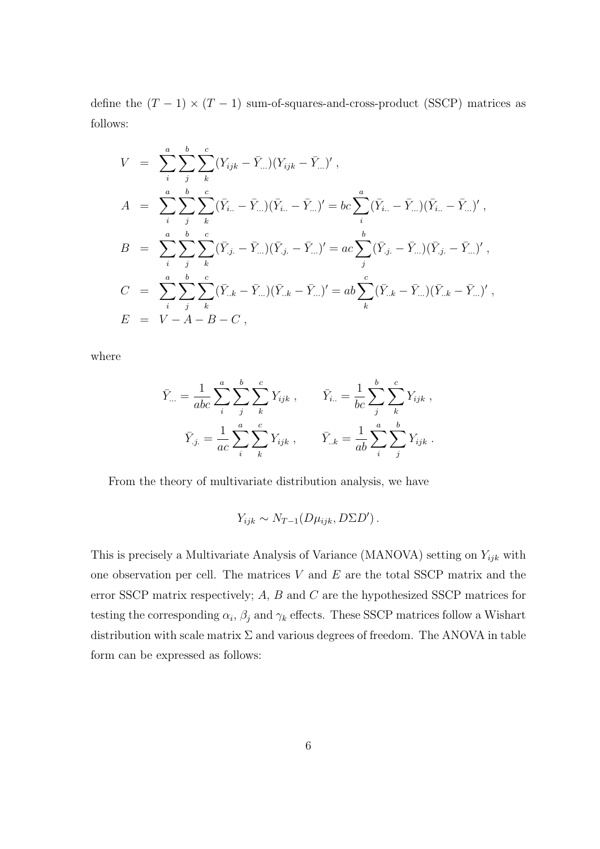define the  $(T - 1) \times (T - 1)$  sum-of-squares-and-cross-product (SSCP) matrices as follows:

$$
V = \sum_{i}^{a} \sum_{j}^{b} \sum_{k}^{c} (Y_{ijk} - \bar{Y}_{...})(Y_{ijk} - \bar{Y}_{...})',
$$
  
\n
$$
A = \sum_{i}^{a} \sum_{j}^{b} \sum_{k}^{c} (\bar{Y}_{i..} - \bar{Y}_{...})(\bar{Y}_{i..} - \bar{Y}_{...})' = bc \sum_{i}^{a} (\bar{Y}_{i..} - \bar{Y}_{...})(\bar{Y}_{i..} - \bar{Y}_{...})',
$$
  
\n
$$
B = \sum_{i}^{a} \sum_{j}^{b} \sum_{k}^{c} (\bar{Y}_{.j.} - \bar{Y}_{...})(\bar{Y}_{.j.} - \bar{Y}_{...})' = ac \sum_{j}^{b} (\bar{Y}_{.j.} - \bar{Y}_{...})(\bar{Y}_{.j.} - \bar{Y}_{...})',
$$
  
\n
$$
C = \sum_{i}^{a} \sum_{j}^{b} \sum_{k}^{c} (\bar{Y}_{..k} - \bar{Y}_{...})(\bar{Y}_{..k} - \bar{Y}_{...})' = ab \sum_{k}^{c} (\bar{Y}_{..k} - \bar{Y}_{...})(\bar{Y}_{..k} - \bar{Y}_{...})',
$$
  
\n
$$
E = V - A - B - C,
$$

where

$$
\bar{Y}_{...} = \frac{1}{abc} \sum_{i}^{a} \sum_{j}^{b} \sum_{k}^{c} Y_{ijk} , \qquad \bar{Y}_{i..} = \frac{1}{bc} \sum_{j}^{b} \sum_{k}^{c} Y_{ijk} ,
$$

$$
\bar{Y}_{.j.} = \frac{1}{ac} \sum_{i}^{a} \sum_{k}^{c} Y_{ijk} , \qquad \bar{Y}_{..k} = \frac{1}{ab} \sum_{i}^{a} \sum_{j}^{b} Y_{ijk} .
$$

From the theory of multivariate distribution analysis, we have

$$
Y_{ijk} \sim N_{T-1}(D\mu_{ijk}, D\Sigma D').
$$

This is precisely a Multivariate Analysis of Variance (MANOVA) setting on  $Y_{ijk}$  with one observation per cell. The matrices  $V$  and  $E$  are the total SSCP matrix and the error SSCP matrix respectively;  $A, B$  and  $C$  are the hypothesized SSCP matrices for testing the corresponding  $\alpha_i$ ,  $\beta_j$  and  $\gamma_k$  effects. These SSCP matrices follow a Wishart distribution with scale matrix  $\Sigma$  and various degrees of freedom. The ANOVA in table form can be expressed as follows: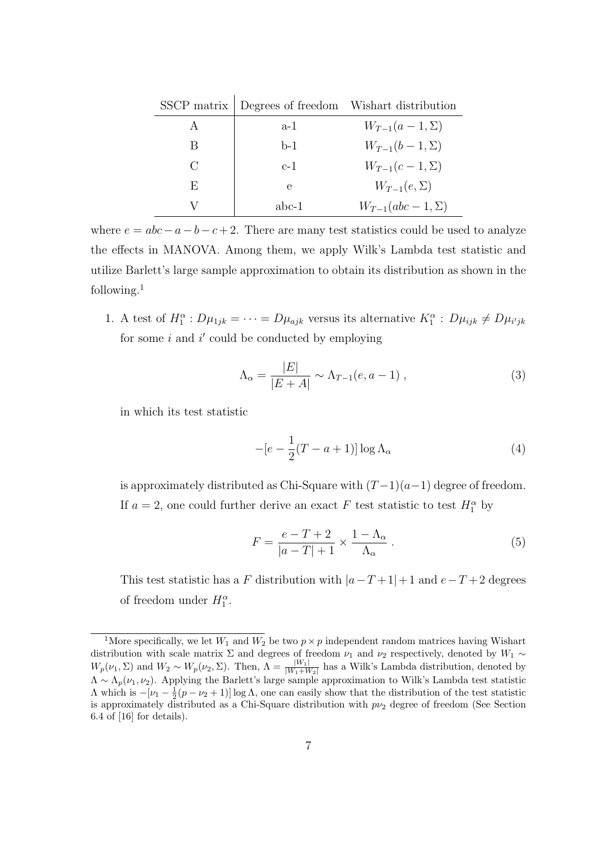| SSCP matrix |            | Degrees of freedom Wishart distribution |  |  |
|-------------|------------|-----------------------------------------|--|--|
|             | $a-1$      | $W_{T-1}(a-1,\Sigma)$                   |  |  |
|             | $b-1$      | $W_{T-1}(b-1,\Sigma)$                   |  |  |
| $\cap$      | $c-1$      | $W_{T-1}(c-1,\Sigma)$                   |  |  |
| F.          | $\epsilon$ | $W_{T-1}(e,\Sigma)$                     |  |  |
|             | abc-1      | $W_{T-1}(abc-1,\Sigma)$                 |  |  |

where  $e = abc - a - b - c + 2$ . There are many test statistics could be used to analyze the effects in MANOVA. Among them, we apply Wilk's Lambda test statistic and utilize Barlett's large sample approximation to obtain its distribution as shown in the following. $<sup>1</sup>$ </sup>

1. A test of  $H_1^{\alpha}: D\mu_{1jk} = \cdots = D\mu_{ajk}$  versus its alternative  $K_1^{\alpha}: D\mu_{ijk} \neq D\mu_{i'jk}$ for some  $i$  and  $i'$  could be conducted by employing

$$
\Lambda_{\alpha} = \frac{|E|}{|E+A|} \sim \Lambda_{T-1}(e, a-1) , \qquad (3)
$$

in which its test statistic

$$
-[e - \frac{1}{2}(T - a + 1)] \log \Lambda_{\alpha} \tag{4}
$$

is approximately distributed as Chi-Square with  $(T-1)(a-1)$  degree of freedom. If  $a = 2$ , one could further derive an exact F test statistic to test  $H_1^{\alpha}$  by

$$
F = \frac{e - T + 2}{|a - T| + 1} \times \frac{1 - \Lambda_{\alpha}}{\Lambda_{\alpha}}.
$$
\n
$$
(5)
$$

This test statistic has a F distribution with  $|a-T+1|+1$  and  $e-T+2$  degrees of freedom under  $H_1^{\alpha}$ .

<sup>&</sup>lt;sup>1</sup>More specifically, we let  $W_1$  and  $W_2$  be two  $p \times p$  independent random matrices having Wishart distribution with scale matrix  $\Sigma$  and degrees of freedom  $\nu_1$  and  $\nu_2$  respectively, denoted by  $W_1 \sim$  $W_p(\nu_1, \Sigma)$  and  $W_2 \sim W_p(\nu_2, \Sigma)$ . Then,  $\Lambda = \frac{|W_1|}{|W_1 + W_2|}$  has a Wilk's Lambda distribution, denoted by  $\Lambda \sim \Lambda_p(\nu_1, \nu_2)$ . Applying the Barlett's large sample approximation to Wilk's Lambda test statistic  $Λ$  which is  $-[ν_1 - \frac{1}{2}(p - ν_2 + 1)] log Λ$ , one can easily show that the distribution of the test statistic is approximately distributed as a Chi-Square distribution with  $p\nu_2$  degree of freedom (See Section 6.4 of [16] for details).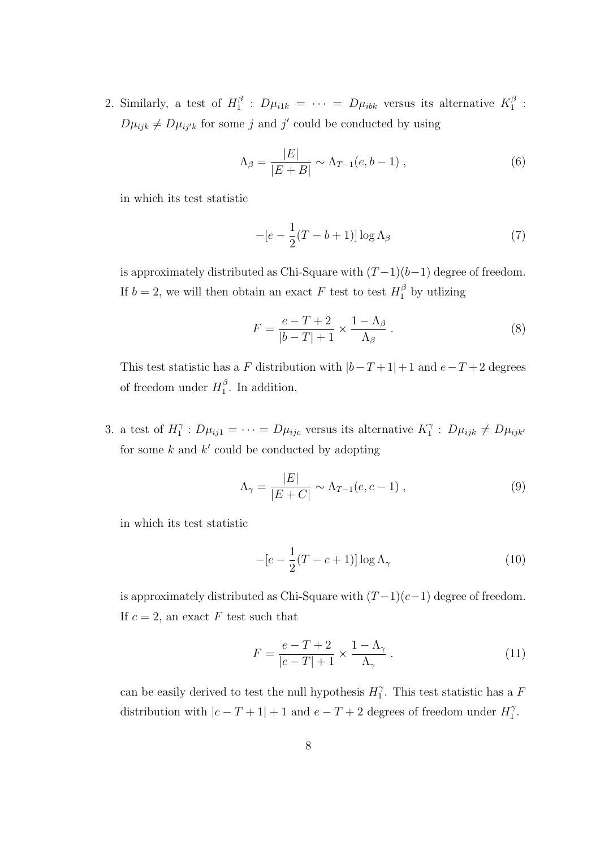2. Similarly, a test of  $H_1^{\beta}$  $\mu_{1}^{\beta}$  :  $D\mu_{i1k} = \cdots = D\mu_{ibk}$  versus its alternative  $K_1^{\beta}$  $\begin{array}{c} \cdot \beta \ 1 \end{array}$  :  $D\mu_{ijk} \neq D\mu_{ij'k}$  for some j and j' could be conducted by using

$$
\Lambda_{\beta} = \frac{|E|}{|E + B|} \sim \Lambda_{T-1}(e, b - 1) , \qquad (6)
$$

in which its test statistic

$$
-[e - \frac{1}{2}(T - b + 1)] \log \Lambda_{\beta} \tag{7}
$$

is approximately distributed as Chi-Square with  $(T-1)(b-1)$  degree of freedom. If  $b = 2$ , we will then obtain an exact F test to test  $H_1^{\beta}$  by utlizing

$$
F = \frac{e - T + 2}{|b - T| + 1} \times \frac{1 - \Lambda_{\beta}}{\Lambda_{\beta}}.
$$
\n(8)

This test statistic has a F distribution with  $|b-T+1|+1$  and  $e-T+2$  degrees of freedom under  $H_1^{\beta}$  $i<sub>1</sub><sup>5</sup>$ . In addition,

3. a test of  $H_1^{\gamma}$  $j_1^{\gamma}: D\mu_{ij1} = \cdots = D\mu_{ijc}$  versus its alternative  $K_1^{\gamma}$  $T_1^\gamma: D\mu_{ijk} \neq D\mu_{ijk}$ for some  $k$  and  $k'$  could be conducted by adopting

$$
\Lambda_{\gamma} = \frac{|E|}{|E+C|} \sim \Lambda_{T-1}(e, c-1) , \qquad (9)
$$

in which its test statistic

$$
-[e - \frac{1}{2}(T - c + 1)] \log \Lambda_{\gamma}
$$
 (10)

is approximately distributed as Chi-Square with  $(T-1)(c-1)$  degree of freedom. If  $c = 2$ , an exact F test such that

$$
F = \frac{e - T + 2}{|c - T| + 1} \times \frac{1 - \Lambda_{\gamma}}{\Lambda_{\gamma}}.
$$
\n(11)

can be easily derived to test the null hypothesis  $H_1^{\gamma}$  $i_1^{\gamma}$ . This test statistic has a F distribution with  $|c - T + 1| + 1$  and  $e - T + 2$  degrees of freedom under  $H_1^{\gamma}$  $\frac{\gamma}{1}$ .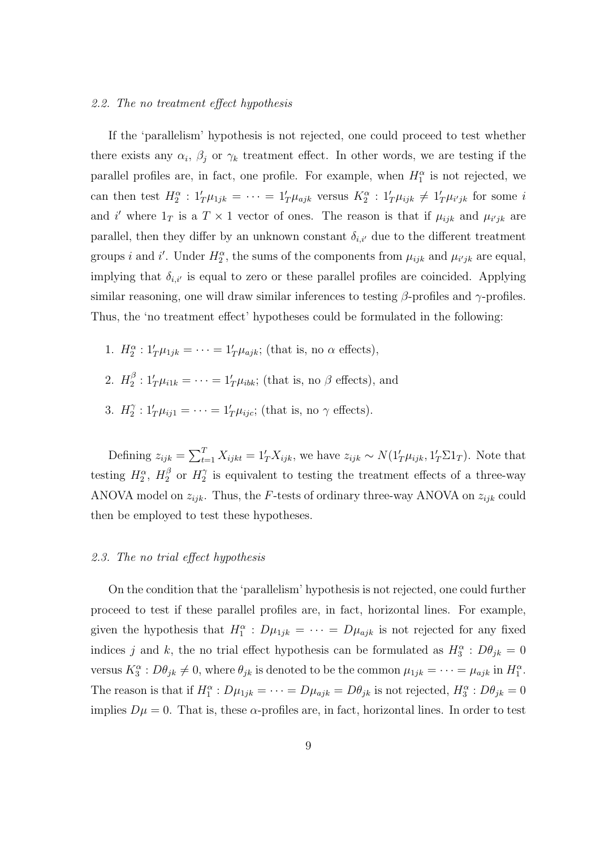#### 2.2. The no treatment effect hypothesis

If the 'parallelism' hypothesis is not rejected, one could proceed to test whether there exists any  $\alpha_i$ ,  $\beta_j$  or  $\gamma_k$  treatment effect. In other words, we are testing if the parallel profiles are, in fact, one profile. For example, when  $H_1^{\alpha}$  is not rejected, we can then test  $H_2^{\alpha}: 1'_T \mu_{1jk} = \cdots = 1'_T \mu_{ajk}$  versus  $K_2^{\alpha}: 1'_T \mu_{ijk} \neq 1'_T \mu_{i'jk}$  for some i and i' where  $1_T$  is a  $T \times 1$  vector of ones. The reason is that if  $\mu_{ijk}$  and  $\mu_{i'jk}$  are parallel, then they differ by an unknown constant  $\delta_{i,i'}$  due to the different treatment groups *i* and *i'*. Under  $H_2^{\alpha}$ , the sums of the components from  $\mu_{ijk}$  and  $\mu_{i'jk}$  are equal, implying that  $\delta_{i,i'}$  is equal to zero or these parallel profiles are coincided. Applying similar reasoning, one will draw similar inferences to testing  $\beta$ -profiles and  $\gamma$ -profiles. Thus, the 'no treatment effect' hypotheses could be formulated in the following:

- 1.  $H_2^{\alpha}: 1'_T \mu_{1jk} = \cdots = 1'_T \mu_{ajk}$ ; (that is, no  $\alpha$  effects),
- 2.  $H_2^{\beta}$  $2^{\beta}: 1'_T\mu_{ik} = \cdots = 1'_T\mu_{ibk}$ ; (that is, no  $\beta$  effects), and
- 3.  $H_2^{\gamma}$  $\gamma_2^{\gamma}: 1'_T\mu_{ij1} = \cdots = 1'_T\mu_{ijc}$ ; (that is, no  $\gamma$  effects).

Defining  $z_{ijk} = \sum_{t=1}^{T} X_{ijkt} = 1'_T X_{ijk}$ , we have  $z_{ijk} \sim N(1'_T \mu_{ijk}, 1'_T \Sigma 1_T)$ . Note that testing  $H_2^{\alpha}$ ,  $H_2^{\beta}$  $\frac{\beta}{2}$  or  $H_2^{\gamma}$  $\gamma$  is equivalent to testing the treatment effects of a three-way ANOVA model on  $z_{ijk}$ . Thus, the F-tests of ordinary three-way ANOVA on  $z_{ijk}$  could then be employed to test these hypotheses.

#### 2.3. The no trial effect hypothesis

On the condition that the 'parallelism' hypothesis is not rejected, one could further proceed to test if these parallel profiles are, in fact, horizontal lines. For example, given the hypothesis that  $H_1^{\alpha}: D\mu_{1jk} = \cdots = D\mu_{ajk}$  is not rejected for any fixed indices j and k, the no trial effect hypothesis can be formulated as  $H_3^{\alpha}$ :  $D\theta_{jk} = 0$ versus  $K_3^{\alpha}: D\theta_{jk} \neq 0$ , where  $\theta_{jk}$  is denoted to be the common  $\mu_{1jk} = \cdots = \mu_{ajk}$  in  $H_1^{\alpha}$ . The reason is that if  $H_1^{\alpha}$ :  $D\mu_{1jk} = \cdots = D\mu_{ajk} = D\theta_{jk}$  is not rejected,  $H_3^{\alpha}$ :  $D\theta_{jk} = 0$ implies  $D\mu = 0$ . That is, these  $\alpha$ -profiles are, in fact, horizontal lines. In order to test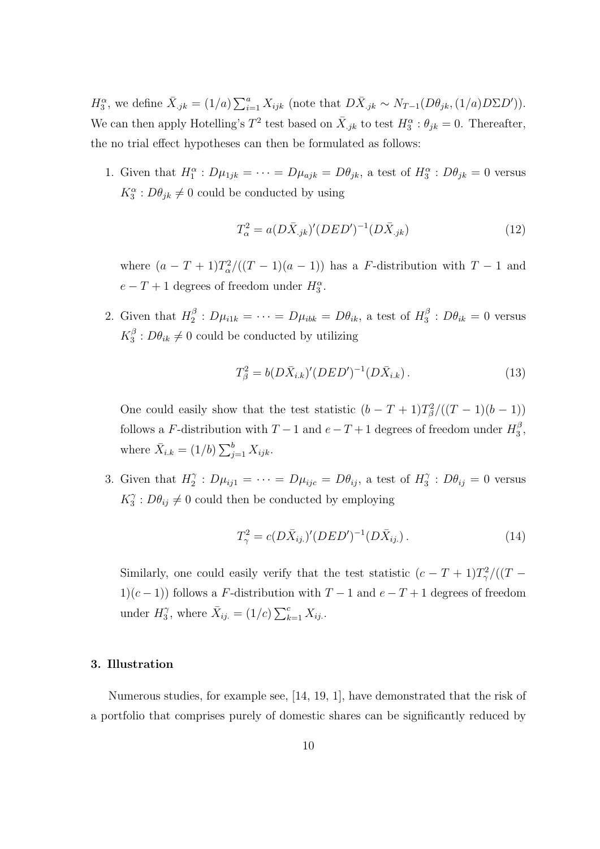$H_3^{\alpha}$ , we define  $\bar{X}_{jk} = (1/a) \sum_{i=1}^a X_{ijk}$  (note that  $D\bar{X}_{jk} \sim N_{T-1}(D\theta_{jk}, (1/a)D\Sigma D')$ ). We can then apply Hotelling's  $T^2$  test based on  $\bar{X}_{jk}$  to test  $H_3^{\alpha}$ :  $\theta_{jk} = 0$ . Thereafter, the no trial effect hypotheses can then be formulated as follows:

1. Given that  $H_1^{\alpha}: D\mu_{1jk} = \cdots = D\mu_{ajk} = D\theta_{jk}$ , a test of  $H_3^{\alpha}: D\theta_{jk} = 0$  versus  $K_3^{\alpha}: D\theta_{jk} \neq 0$  could be conducted by using

$$
T_{\alpha}^{2} = a(D\bar{X}_{jk})'(DED')^{-1}(D\bar{X}_{jk})
$$
\n(12)

where  $(a - T + 1)T_{\alpha}^2/((T - 1)(a - 1))$  has a F-distribution with  $T - 1$  and  $e - T + 1$  degrees of freedom under  $H_3^{\alpha}$ .

2. Given that  $H_2^{\beta}$  $\omega_2^{\beta}: D\mu_{i1k} = \cdots = D\mu_{ibk} = D\theta_{ik}$ , a test of  $H_3^{\beta}$  $3^5$ :  $D\theta_{ik} = 0$  versus  $K_3^{\beta}$  $\frac{1}{3}$ :  $D\theta_{ik} \neq 0$  could be conducted by utilizing

$$
T_{\beta}^{2} = b(D\bar{X}_{i,k})'(DED')^{-1}(D\bar{X}_{i,k}).
$$
\n(13)

One could easily show that the test statistic  $(b - T + 1)T_{\beta}^2/((T - 1)(b - 1))$ follows a F-distribution with  $T-1$  and  $e-T+1$  degrees of freedom under  $H_3^{\beta}$ 3 , where  $\bar{X}_{i,k} = (1/b) \sum_{i=1}^{b}$  $_{j=1}^b X_{ijk}.$ 

3. Given that  $H_2^{\gamma}$  $2^{\gamma}$ :  $D\mu_{ij1} = \cdots = D\mu_{ijc} = D\theta_{ij}$ , a test of  $H_3^{\gamma}$  $S_3^{\gamma}: D\theta_{ij} = 0$  versus  $K_3^{\gamma}$  $2i_3^{\gamma}: D\theta_{ij} \neq 0$  could then be conducted by employing

$$
T_{\gamma}^{2} = c(D\bar{X}_{ij.})'(DED')^{-1}(D\bar{X}_{ij.}).
$$
\n(14)

Similarly, one could easily verify that the test statistic  $(c - T + 1)T_{\gamma}^2/((T -$ 1)(c − 1)) follows a F-distribution with  $T-1$  and  $e-T+1$  degrees of freedom under  $H_3^{\gamma}$  $\overline{X}_i$ , where  $\overline{X}_{ij.} = (1/c) \sum_{k=1}^{c}$  $_{k=1}^{c} X_{ij.}.$ 

#### 3. Illustration

Numerous studies, for example see, [14, 19, 1], have demonstrated that the risk of a portfolio that comprises purely of domestic shares can be significantly reduced by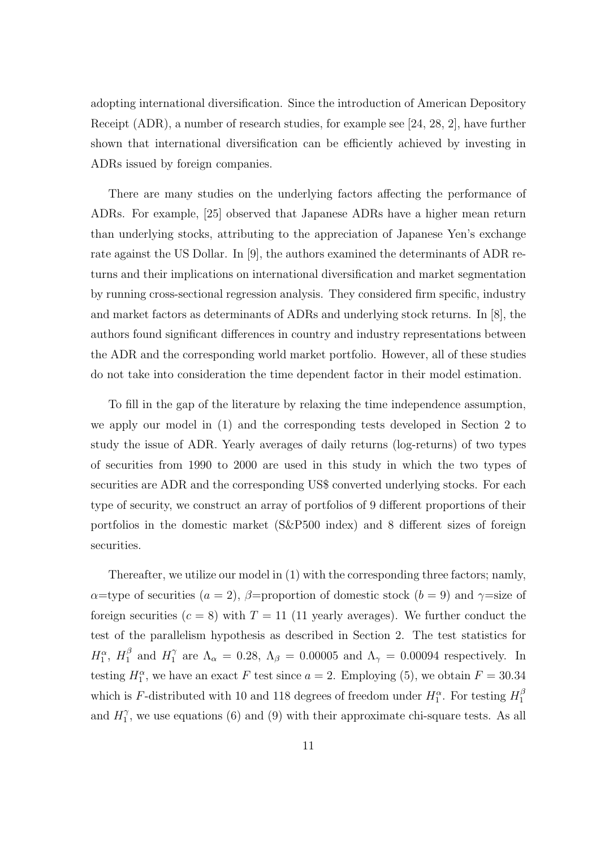adopting international diversification. Since the introduction of American Depository Receipt (ADR), a number of research studies, for example see [24, 28, 2], have further shown that international diversification can be efficiently achieved by investing in ADRs issued by foreign companies.

There are many studies on the underlying factors affecting the performance of ADRs. For example, [25] observed that Japanese ADRs have a higher mean return than underlying stocks, attributing to the appreciation of Japanese Yen's exchange rate against the US Dollar. In [9], the authors examined the determinants of ADR returns and their implications on international diversification and market segmentation by running cross-sectional regression analysis. They considered firm specific, industry and market factors as determinants of ADRs and underlying stock returns. In [8], the authors found significant differences in country and industry representations between the ADR and the corresponding world market portfolio. However, all of these studies do not take into consideration the time dependent factor in their model estimation.

To fill in the gap of the literature by relaxing the time independence assumption, we apply our model in (1) and the corresponding tests developed in Section 2 to study the issue of ADR. Yearly averages of daily returns (log-returns) of two types of securities from 1990 to 2000 are used in this study in which the two types of securities are ADR and the corresponding US\$ converted underlying stocks. For each type of security, we construct an array of portfolios of 9 different proportions of their portfolios in the domestic market (S&P500 index) and 8 different sizes of foreign securities.

Thereafter, we utilize our model in (1) with the corresponding three factors; namly,  $\alpha$ =type of securities  $(a = 2)$ ,  $\beta$ =proportion of domestic stock  $(b = 9)$  and  $\gamma$ =size of foreign securities  $(c = 8)$  with  $T = 11$  (11 yearly averages). We further conduct the test of the parallelism hypothesis as described in Section 2. The test statistics for  $H_1^{\alpha}, H_1^{\beta}$  $\int_1^\beta$  and  $H_1^\gamma$  $\hat{\Lambda}_1$  are  $\Lambda_\alpha = 0.28, \Lambda_\beta = 0.00005$  and  $\Lambda_\gamma = 0.00094$  respectively. In testing  $H_1^{\alpha}$ , we have an exact F test since  $a = 2$ . Employing (5), we obtain  $F = 30.34$ which is F-distributed with 10 and 118 degrees of freedom under  $H_1^{\alpha}$ . For testing  $H_1^{\beta}$ 1 and  $H_1^{\gamma}$  $\gamma$ , we use equations (6) and (9) with their approximate chi-square tests. As all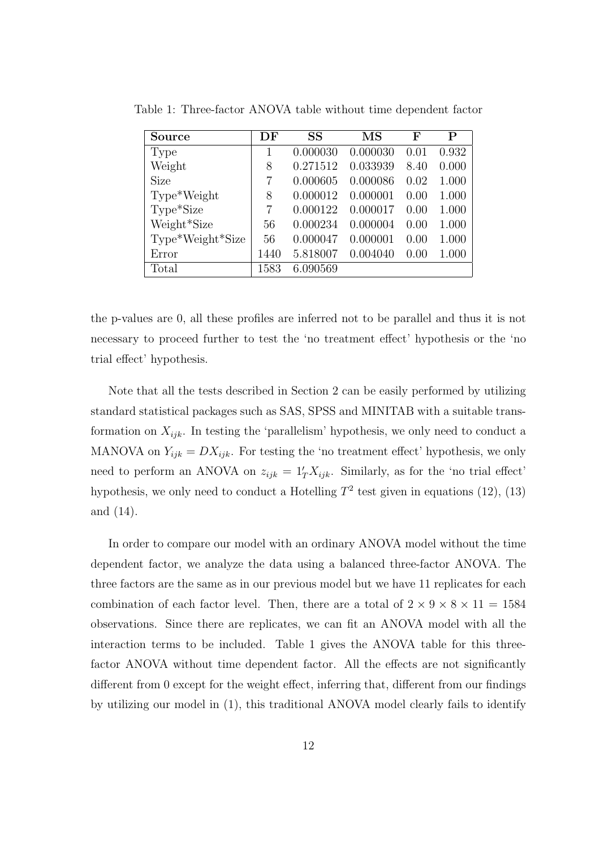| Source           | DF   | <b>SS</b> | $\overline{\rm MS}$ | F    | P     |
|------------------|------|-----------|---------------------|------|-------|
| Type             |      | 0.000030  | 0.000030            | 0.01 | 0.932 |
| Weight           | 8    | 0.271512  | 0.033939            | 8.40 | 0.000 |
| <b>Size</b>      | 7    | 0.000605  | 0.000086            | 0.02 | 1.000 |
| Type*Weight      | 8    | 0.000012  | 0.000001            | 0.00 | 1.000 |
| Type*Size        | 7    | 0.000122  | 0.000017            | 0.00 | 1.000 |
| Weight*Size      | 56   | 0.000234  | 0.000004            | 0.00 | 1.000 |
| Type*Weight*Size | 56   | 0.000047  | 0.000001            | 0.00 | 1.000 |
| Error            | 1440 | 5.818007  | 0.004040            | 0.00 | 1.000 |
| Total            | 1583 | 6.090569  |                     |      |       |

Table 1: Three-factor ANOVA table without time dependent factor

the p-values are 0, all these profiles are inferred not to be parallel and thus it is not necessary to proceed further to test the 'no treatment effect' hypothesis or the 'no trial effect' hypothesis.

Note that all the tests described in Section 2 can be easily performed by utilizing standard statistical packages such as SAS, SPSS and MINITAB with a suitable transformation on  $X_{ijk}$ . In testing the 'parallelism' hypothesis, we only need to conduct a MANOVA on  $Y_{ijk} = DX_{ijk}$ . For testing the 'no treatment effect' hypothesis, we only need to perform an ANOVA on  $z_{ijk} = 1'_T X_{ijk}$ . Similarly, as for the 'no trial effect' hypothesis, we only need to conduct a Hotelling  $T^2$  test given in equations (12), (13) and (14).

In order to compare our model with an ordinary ANOVA model without the time dependent factor, we analyze the data using a balanced three-factor ANOVA. The three factors are the same as in our previous model but we have 11 replicates for each combination of each factor level. Then, there are a total of  $2 \times 9 \times 8 \times 11 = 1584$ observations. Since there are replicates, we can fit an ANOVA model with all the interaction terms to be included. Table 1 gives the ANOVA table for this threefactor ANOVA without time dependent factor. All the effects are not significantly different from 0 except for the weight effect, inferring that, different from our findings by utilizing our model in (1), this traditional ANOVA model clearly fails to identify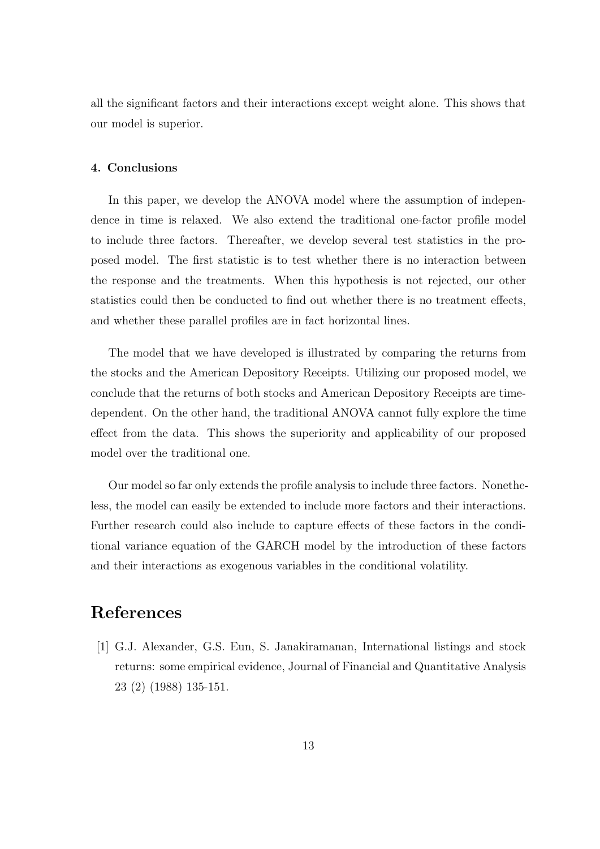all the significant factors and their interactions except weight alone. This shows that our model is superior.

#### 4. Conclusions

In this paper, we develop the ANOVA model where the assumption of independence in time is relaxed. We also extend the traditional one-factor profile model to include three factors. Thereafter, we develop several test statistics in the proposed model. The first statistic is to test whether there is no interaction between the response and the treatments. When this hypothesis is not rejected, our other statistics could then be conducted to find out whether there is no treatment effects, and whether these parallel profiles are in fact horizontal lines.

The model that we have developed is illustrated by comparing the returns from the stocks and the American Depository Receipts. Utilizing our proposed model, we conclude that the returns of both stocks and American Depository Receipts are timedependent. On the other hand, the traditional ANOVA cannot fully explore the time effect from the data. This shows the superiority and applicability of our proposed model over the traditional one.

Our model so far only extends the profile analysis to include three factors. Nonetheless, the model can easily be extended to include more factors and their interactions. Further research could also include to capture effects of these factors in the conditional variance equation of the GARCH model by the introduction of these factors and their interactions as exogenous variables in the conditional volatility.

### References

[1] G.J. Alexander, G.S. Eun, S. Janakiramanan, International listings and stock returns: some empirical evidence, Journal of Financial and Quantitative Analysis 23 (2) (1988) 135-151.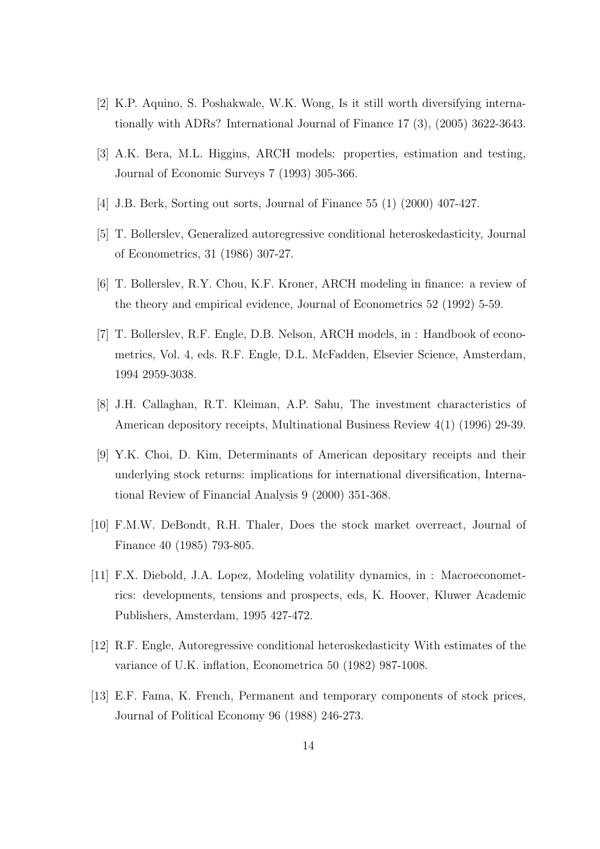- [2] K.P. Aquino, S. Poshakwale, W.K. Wong, Is it still worth diversifying internationally with ADRs? International Journal of Finance 17 (3), (2005) 3622-3643.
- [3] A.K. Bera, M.L. Higgins, ARCH models: properties, estimation and testing, Journal of Economic Surveys 7 (1993) 305-366.
- [4] J.B. Berk, Sorting out sorts, Journal of Finance 55 (1) (2000) 407-427.
- [5] T. Bollerslev, Generalized autoregressive conditional heteroskedasticity, Journal of Econometrics, 31 (1986) 307-27.
- [6] T. Bollerslev, R.Y. Chou, K.F. Kroner, ARCH modeling in finance: a review of the theory and empirical evidence, Journal of Econometrics 52 (1992) 5-59.
- [7] T. Bollerslev, R.F. Engle, D.B. Nelson, ARCH models, in : Handbook of econometrics, Vol. 4, eds. R.F. Engle, D.L. McFadden, Elsevier Science, Amsterdam, 1994 2959-3038.
- [8] J.H. Callaghan, R.T. Kleiman, A.P. Sahu, The investment characteristics of American depository receipts, Multinational Business Review 4(1) (1996) 29-39.
- [9] Y.K. Choi, D. Kim, Determinants of American depositary receipts and their underlying stock returns: implications for international diversification, International Review of Financial Analysis 9 (2000) 351-368.
- [10] F.M.W. DeBondt, R.H. Thaler, Does the stock market overreact, Journal of Finance 40 (1985) 793-805.
- [11] F.X. Diebold, J.A. Lopez, Modeling volatility dynamics, in : Macroeconometrics: developments, tensions and prospects, eds, K. Hoover, Kluwer Academic Publishers, Amsterdam, 1995 427-472.
- [12] R.F. Engle, Autoregressive conditional heteroskedasticity With estimates of the variance of U.K. inflation, Econometrica 50 (1982) 987-1008.
- [13] E.F. Fama, K. French, Permanent and temporary components of stock prices, Journal of Political Economy 96 (1988) 246-273.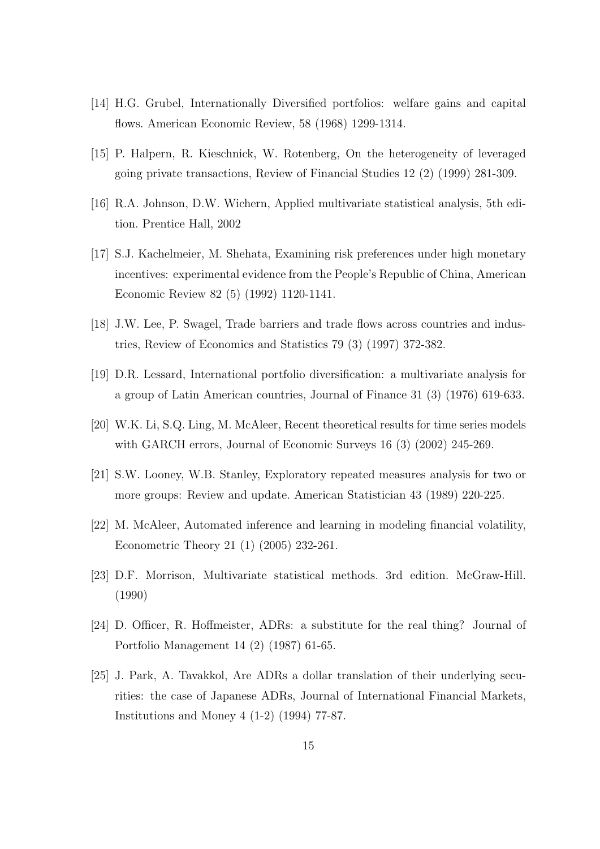- [14] H.G. Grubel, Internationally Diversified portfolios: welfare gains and capital flows. American Economic Review, 58 (1968) 1299-1314.
- [15] P. Halpern, R. Kieschnick, W. Rotenberg, On the heterogeneity of leveraged going private transactions, Review of Financial Studies 12 (2) (1999) 281-309.
- [16] R.A. Johnson, D.W. Wichern, Applied multivariate statistical analysis, 5th edition. Prentice Hall, 2002
- [17] S.J. Kachelmeier, M. Shehata, Examining risk preferences under high monetary incentives: experimental evidence from the People's Republic of China, American Economic Review 82 (5) (1992) 1120-1141.
- [18] J.W. Lee, P. Swagel, Trade barriers and trade flows across countries and industries, Review of Economics and Statistics 79 (3) (1997) 372-382.
- [19] D.R. Lessard, International portfolio diversification: a multivariate analysis for a group of Latin American countries, Journal of Finance 31 (3) (1976) 619-633.
- [20] W.K. Li, S.Q. Ling, M. McAleer, Recent theoretical results for time series models with GARCH errors, Journal of Economic Surveys 16 (3) (2002) 245-269.
- [21] S.W. Looney, W.B. Stanley, Exploratory repeated measures analysis for two or more groups: Review and update. American Statistician 43 (1989) 220-225.
- [22] M. McAleer, Automated inference and learning in modeling financial volatility, Econometric Theory 21 (1) (2005) 232-261.
- [23] D.F. Morrison, Multivariate statistical methods. 3rd edition. McGraw-Hill. (1990)
- [24] D. Officer, R. Hoffmeister, ADRs: a substitute for the real thing? Journal of Portfolio Management 14 (2) (1987) 61-65.
- [25] J. Park, A. Tavakkol, Are ADRs a dollar translation of their underlying securities: the case of Japanese ADRs, Journal of International Financial Markets, Institutions and Money 4 (1-2) (1994) 77-87.